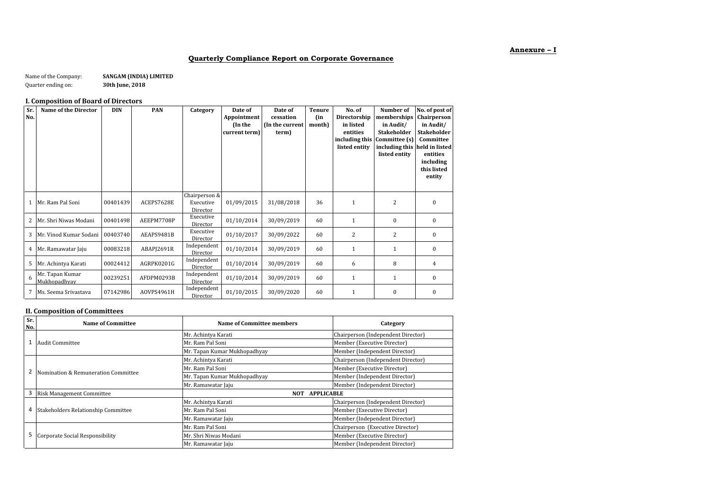## **Annexure – I**

# **Quarterly Compliance Report on Corporate Governance**

| Name of the Company: | SANGAM (INDIA) LIMITED |
|----------------------|------------------------|
| Quarter ending on:   | 30th June, 2018        |

## **I. Composition of Board of Directors**

| Sr.<br>No. | Name of the Director            | <b>DIN</b> | <b>PAN</b> | Category                               | Date of<br>Appointment<br>(In the<br>current term) | Date of<br>cessation<br>(In the current<br>term) | <b>Tenure</b><br>(in<br>month) | No. of<br>Directorship<br>in listed<br>entities<br>including this<br>listed entity | Number of<br>memberships<br>in Audit/<br><b>Stakeholder</b><br>Committee (s)<br>including this held in listed<br>listed entity | No. of post of<br>Chairperson<br>in Audit/<br><b>Stakeholder</b><br>Committee<br>entities<br>including<br>this listed<br>entity |
|------------|---------------------------------|------------|------------|----------------------------------------|----------------------------------------------------|--------------------------------------------------|--------------------------------|------------------------------------------------------------------------------------|--------------------------------------------------------------------------------------------------------------------------------|---------------------------------------------------------------------------------------------------------------------------------|
| 1          | Mr. Ram Pal Soni                | 00401439   | ACEPS7628E | Chairperson &<br>Executive<br>Director | 01/09/2015                                         | 31/08/2018                                       | 36                             | 1                                                                                  | $\overline{2}$                                                                                                                 | $\mathbf{0}$                                                                                                                    |
| 2          | Mr. Shri Niwas Modani           | 00401498   | AEEPM7708P | Executive<br>Director                  | 01/10/2014                                         | 30/09/2019                                       | 60                             | 1                                                                                  | $\mathbf{0}$                                                                                                                   | $\mathbf{0}$                                                                                                                    |
| 3          | Mr. Vinod Kumar Sodani          | 00403740   | AEAPS9481B | Executive<br>Director                  | 01/10/2017                                         | 30/09/2022                                       | 60                             | 2                                                                                  | 2                                                                                                                              | $\mathbf{0}$                                                                                                                    |
| 4          | Mr. Ramawatar Jaju              | 00083218   | ABAPJ2691R | Independent<br>Director                | 01/10/2014                                         | 30/09/2019                                       | 60                             | 1                                                                                  | $\mathbf{1}$                                                                                                                   | $\mathbf{0}$                                                                                                                    |
| 5          | Mr. Achintya Karati             | 00024412   | AGRPK0201G | Independent<br>Director                | 01/10/2014                                         | 30/09/2019                                       | 60                             | 6                                                                                  | 8                                                                                                                              | 4                                                                                                                               |
| 6          | Mr. Tapan Kumar<br>Mukhopadhyay | 00239251   | AFDPM0293B | Independent<br>Director                | 01/10/2014                                         | 30/09/2019                                       | 60                             | $\mathbf{1}$                                                                       | $\mathbf{1}$                                                                                                                   | $\mathbf{0}$                                                                                                                    |
| 7          | Ms. Seema Srivastava            | 07142986   | AOVPS4961H | Independent<br>Director                | 01/10/2015                                         | 30/09/2020                                       | 60                             | 1                                                                                  | $\mathbf{0}$                                                                                                                   | $\mathbf{0}$                                                                                                                    |

# **II. Composition of Committees**

| Sr.<br>No. | <b>Name of Committee</b>            | Name of Committee members    | Category                           |  |
|------------|-------------------------------------|------------------------------|------------------------------------|--|
|            |                                     | Mr. Achintya Karati          | Chairperson (Independent Director) |  |
|            | <b>Audit Committee</b>              | Mr. Ram Pal Soni             | Member (Executive Director)        |  |
|            |                                     | Mr. Tapan Kumar Mukhopadhyay | Member (Independent Director)      |  |
|            | Nomination & Remuneration Committee | Mr. Achintya Karati          | Chairperson (Independent Director) |  |
|            |                                     | Mr. Ram Pal Soni             | Member (Executive Director)        |  |
|            |                                     | Mr. Tapan Kumar Mukhopadhyay | Member (Independent Director)      |  |
|            |                                     | Mr. Ramawatar Jaju           | Member (Independent Director)      |  |
|            | <b>Risk Management Committee</b>    | <b>APPLICABLE</b><br>NOT     |                                    |  |
|            | Stakeholders Relationship Committee | Mr. Achintya Karati          | Chairperson (Independent Director) |  |
| 4          |                                     | Mr. Ram Pal Soni             | Member (Executive Director)        |  |
|            |                                     | Mr. Ramawatar Jaju           | Member (Independent Director)      |  |
|            | Corporate Social Responsibility     | Mr. Ram Pal Soni             | Chairperson (Executive Director)   |  |
| 5          |                                     | Mr. Shri Niwas Modani        | Member (Executive Director)        |  |
|            |                                     | Mr. Ramawatar Jaju           | Member (Independent Director)      |  |